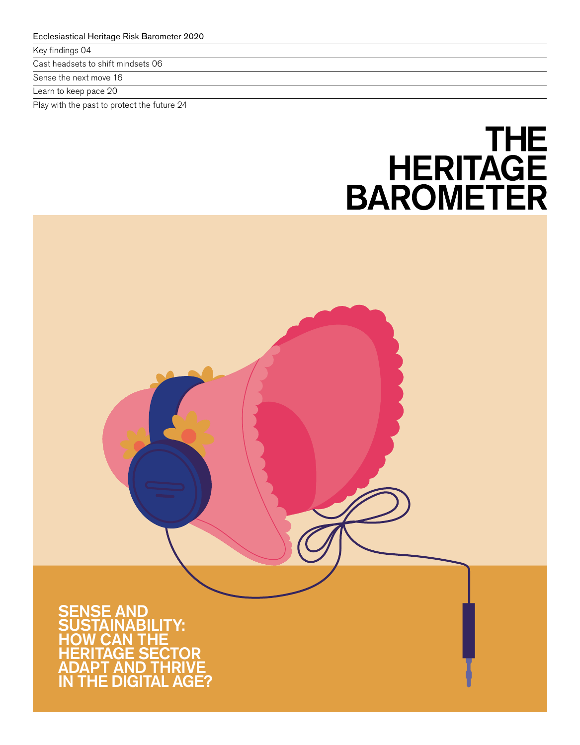Key findings 04

Cast headsets to shift mindsets 06

Sense the next move 16

Learn to keep pace 20

Play with the past to protect the future 24

# THE<br>HERITAGE<br>BAROMETER

**F AND NABILITY:** HOW CAN THE HERITAGE SECTOR ADAPT AND THRIVE IN THE DIGITAL AGE?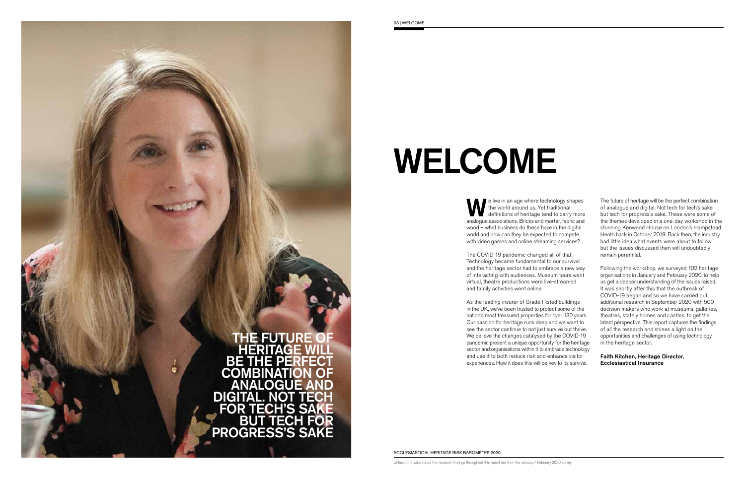

# WELCOME

e live in an age where technology shapes the world around us. Yet traditional definitions of heritage tend to carry more analogue associations. Bricks and mortar, fabric and wood – what business do these have in the digital world and how can they be expected to compete with video games and online streaming services?

The COVID-19 pandemic changed all of that. Technology became fundamental to our survival and the heritage sector had to embrace a new way of interacting with audiences. Museum tours went virtual, theatre productions were live-streamed and family activities went online.

 the themes developed in a one-day workshop in the The future of heritage will be the perfect combination of analogue and digital. Not tech for tech's sake but tech for progress's sake. These were some of stunning Kenwood House on London's Hampstead Heath back in October 2019. Back then, the industry had little idea what events were about to follow but the issues discussed then will undoubtedly remain perennial.

As the leading insurer of Grade I listed buildings in the UK, we've been trusted to protect some of the nation's most treasured properties for over 130 years. Our passion for heritage runs deep and we want to see the sector continue to not just survive but thrive. We believe the changes catalysed by the COVID-19 pandemic present a unique opportunity for the heritage sector and organisations within it to embrace technology and use it to both reduce risk and enhance visitor experiences. How it does this will be key to its survival.

Following the workshop, we surveyed 102 heritage organisations in January and February 2020, to help us get a deeper understanding of the issues raised. It was shortly after this that the outbreak of COVID-19 began and so we have carried out additional research in September 2020 with 500 decision makers who work at museums, galleries, theatres, stately homes and castles, to get the latest perspective. This report captures the findings of all the research and shines a light on the opportunities and challenges of using technology in the heritage sector.

Faith Kitchen, Heritage Director, Ecclesiastical Insurance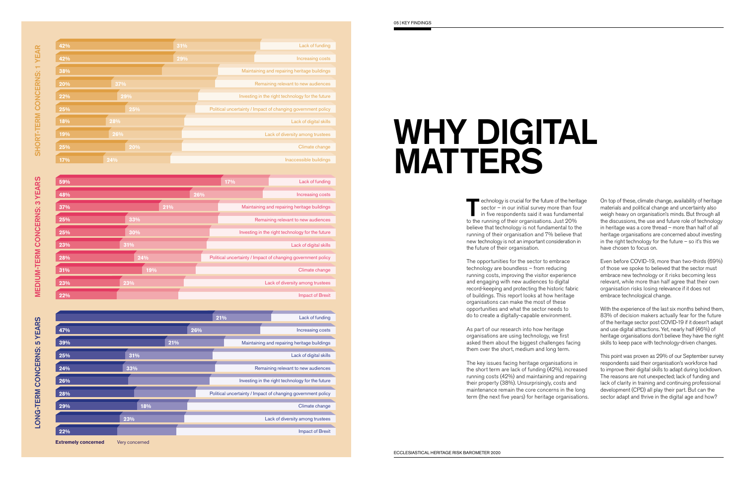| 42% |     | 31% | Lack of funding                                              |
|-----|-----|-----|--------------------------------------------------------------|
| 42% |     | 29% | Increasing costs                                             |
| 38% |     |     | Maintaining and repairing heritage buildings                 |
| 20% | 37% |     | Remaining relevant to new audiences                          |
| 22% | 29% |     | Investing in the right technology for the future             |
| 25% | 25% |     | Political uncertainty / Impact of changing government policy |
| 18% | 28% |     | Lack of digital skills                                       |
| 19% | 26% |     | Lack of diversity among trustees                             |
| 25% | 20% |     | Climate change                                               |
| 17% | 24% |     | Inaccessible buildings                                       |

| 59% |     |     | 17% | Lack of funding                                              |
|-----|-----|-----|-----|--------------------------------------------------------------|
| 48% |     | 26% |     | Increasing costs                                             |
| 37% | 21% |     |     | Maintaining and repairing heritage buildings                 |
| 25% | 33% |     |     | Remaining relevant to new audiences                          |
| 25% | 30% |     |     | Investing in the right technology for the future             |
| 23% | 31% |     |     | Lack of digital skills                                       |
| 28% | 24% |     |     | Political uncertainty / Impact of changing government policy |
| 31% | 19% |     |     | Climate change                                               |
| 23% | 23% |     |     | Lack of diversity among trustees                             |
| 22% |     |     |     | <b>Impact of Brexit</b>                                      |

|                            |                |     |     | 21% | Lack of funding                                              |
|----------------------------|----------------|-----|-----|-----|--------------------------------------------------------------|
| 47%                        |                |     | 26% |     | Increasing costs                                             |
| 39%                        |                | 21% |     |     | Maintaining and repairing heritage buildings                 |
| 25%                        | 31%            |     |     |     | Lack of digital skills                                       |
| 24%                        | 33%            |     |     |     | Remaining relevant to new audiences                          |
| 26%                        |                |     |     |     | Investing in the right technology for the future             |
| 28%                        |                |     |     |     | Political uncertainty / Impact of changing government policy |
| 29%                        |                | 18% |     |     | Climate change                                               |
|                            | 23%            |     |     |     | Lack of diversity among trustees                             |
| 22%                        |                |     |     |     | <b>Impact of Brexit</b>                                      |
| <b>Extremely concerned</b> | Very concerned |     |     |     |                                                              |

The key issues facing heritage organisations in the short term are lack of funding (42%), increased running costs (42%) and maintaining and repairing their property (38%). Unsurprisingly, costs and maintenance remain the core concerns in the long term (the next five years) for heritage organisations.



# WHY DIGITAL MATTERS

echnology is crucial for the future of the heritage sector – in our initial survey more than four in five respondents said it was fundamental to the running of their organisations. Just 20% believe that technology is not fundamental to the running of their organisation and 7% believe that new technology is not an important consideration in the future of their organisation.

> of those we spoke to believed that the sector must embrace new technology or it risks becoming less organisation risks losing relevance if it does not Even before COVID-19, more than two-thirds (69%) relevant, while more than half agree that their own embrace technological change.

The opportunities for the sector to embrace technology are boundless – from reducing running costs, improving the visitor experience and engaging with new audiences to digital record-keeping and protecting the historic fabric of buildings. This report looks at how heritage organisations can make the most of these opportunities and what the sector needs to do to create a digitally-capable environment.

As part of our research into how heritage organisations are using technology, we frst asked them about the biggest challenges facing them over the short, medium and long term.

On top of these, climate change, availability of heritage materials and political change and uncertainty also weigh heavy on organisation's minds. But through all the discussions, the use and future role of technology in heritage was a core thread – more than half of all heritage organisations are concerned about investing in the right technology for the future – so it's this we have chosen to focus on.

With the experience of the last six months behind them, 83% of decision makers actually fear for the future of the heritage sector post COVID-19 if it doesn't adapt and use digital attractions. Yet, nearly half (46%) of heritage organisations don't believe they have the right skills to keep pace with technology-driven changes.

This point was proven as 29% of our September survey respondents said their organisation's workforce had to improve their digital skills to adapt during lockdown. The reasons are not unexpected; lack of funding and lack of clarity in training and continuing professional development (CPD) all play their part. But can the sector adapt and thrive in the digital age and how?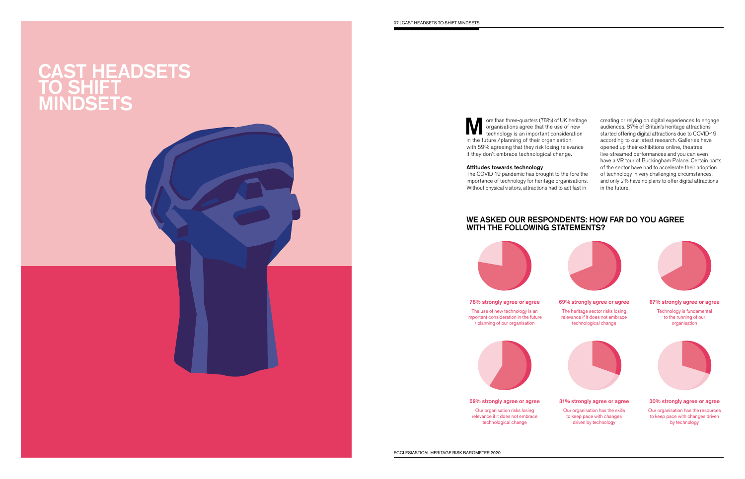### CAST HEADSETS TO SHIFT MINDSETS

Ore than three-quarters (78%) of UK heritage<br>organisations agree that the use of new<br>technology is an important consideration organisations agree that the use of new technology is an important consideration in the future / planning of their organisation, with 59% agreeing that they risk losing relevance if they don't embrace technological change.

#### Attitudes towards technology

The COVID-19 pandemic has brought to the fore the importance of technology for heritage organisations. Without physical visitors, attractions had to act fast in

creating or relying on digital experiences to engage audiences. 87% of Britain's heritage attractions started offering digital attractions due to COVID-19 according to our latest research. Galleries have opened up their exhibitions online, theatres live-streamed performances and you can even have a VR tour of Buckingham Palace. Certain parts of the sector have had to accelerate their adoption of technology in very challenging circumstances, and only 2% have no plans to offer digital attractions in the future.

#### WE ASKED OUR RESPONDENTS: HOW FAR DO YOU AGREE WITH THE FOLLOWING STATEMENTS?



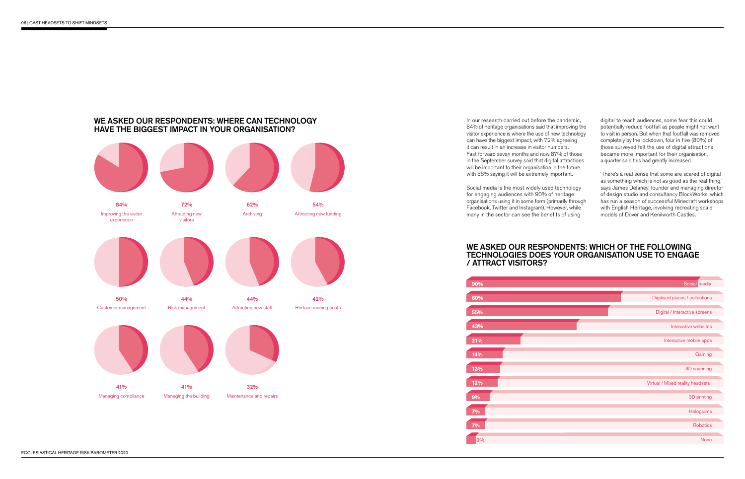#### WE ASKED OUR RESPONDENTS: WHERE CAN TECHNOLOGY HAVE THE BIGGEST IMPACT IN YOUR ORGANISATION?



Social media is the most widely used technology for engaging audiences with 90% of heritage organisations using it in some form (primarily through Facebook, Twitter and Instagram). However, while many in the sector can see the benefits of using

In our research carried out before the pandemic, 84% of heritage organisations said that improving the visitor experience is where the use of new technology can have the biggest impact, with 72% agreeing it can result in an increase in visitor numbers. Fast forward seven months and now 87% of those in the September survey said that digital attractions will be important to their organisation in the future, with 36% saying it will be extremely important.

 potentially reduce footfall as people might not want digital to reach audiences, some fear this could to visit in person. But when that footfall was removed completely by the lockdown, four in five (80%) of those surveyed felt the use of digital attractions became more important for their organisation, a quarter said this had greatly increased.

#### WE ASKED OUR RESPONDENTS: WHICH OF THE FOLLOWING TECHNOLOGIES DOES YOUR ORGANISATION USE TO ENGAGE

## / ATTRACT VISITORS?

'There's a real sense that some are scared of digital as something which is not as good as the real thing,' says James Delaney, founder and managing director of design studio and consultancy BlockWorks, which has run a season of successful Minecraft workshops with English Heritage, involving recreating scale models of Dover and Kenilworth Castles.

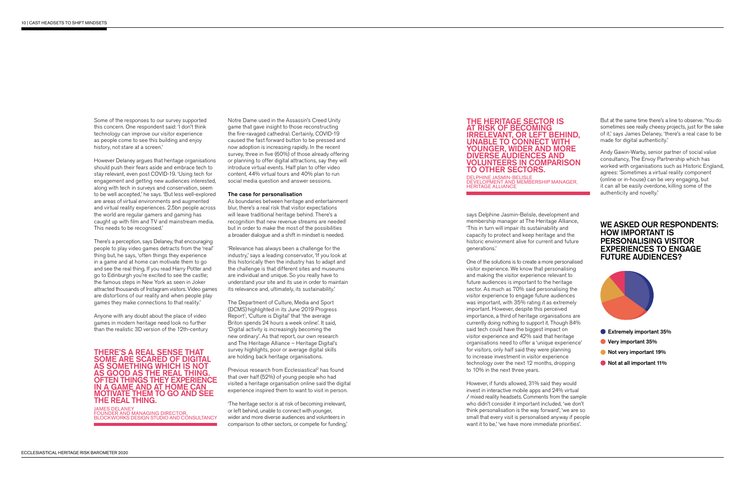Some of the responses to our survey supported this concern. One respondent said: 'I don't think technology can improve our visitor experience as people come to see this building and enjoy history, not stare at a screen.'

 are areas of virtual environments and augmented However Delaney argues that heritage organisations should push their fears aside and embrace tech to stay relevant, even post COVID-19. 'Using tech for engagement and getting new audiences interested, along with tech in surveys and conservation, seem to be well accepted,' he says. 'But less well-explored and virtual reality experiences. 2.5bn people across the world are regular gamers and gaming has caught up with flm and TV and mainstream media. This needs to be recognised.'

There's a perception, says Delaney, that encouraging people to play video games detracts from the 'real' thing but, he says, 'often things they experience in a game and at home can motivate them to go and see the real thing. If you read Harry Potter and go to Edinburgh you're excited to see the castle; the famous steps in New York as seen in Joker attracted thousands of Instagram visitors. Video games are distortions of our reality and when people play games they make connections to that reality.'

Anyone with any doubt about the place of video games in modern heritage need look no further than the realistic 3D version of the 12th-century

#### THERE'S A REAL SENSE THAT SOME ARE SCARED OF DIGITAL AS SOMETHING WHICH IS NOT AS GOOD AS THE REAL THING. OFTEN THINGS THEY EXPERIENCE IN A GAME AND AT HOME CAN MOTIVATE THEM TO GO AND SEE THE REAL THING.

JAMES DELANEY FOUNDER AND MANAGING DIRECTOR, BLOCKWORKS DESIGN STUDIO AND CONSULTANCY

Previous research from Ecclesiastical<sup>2</sup> has found that over half (52%) of young people who had visited a heritage organisation online said the digital experience inspired them to want to visit in person.

Notre Dame used in the Assassin's Creed Unity game that gave insight to those reconstructing the fire-ravaged cathedral. Certainly, COVID-19 caused the fast forward button to be pressed and now adoption is increasing rapidly. In the recent survey, three in five (60%) of those already offering or planning to offer digital attractions, say they will introduce virtual events. Half plan to offer video content, 44% virtual tours and 40% plan to run social media question and answer sessions.

#### The case for personalisation

As boundaries between heritage and entertainment blur, there's a real risk that visitor expectations will leave traditional heritage behind. There's a recognition that new revenue streams are needed but in order to make the most of the possibilities a broader dialogue and a shift in mindset is needed.

'Relevance has always been a challenge for the industry,' says a leading conservator, 'If you look at this historically then the industry has to adapt and the challenge is that different sites and museums are individual and unique. So you really have to understand your site and its use in order to maintain its relevance and, ultimately, its sustainability.'

The Department of Culture, Media and Sport (DCMS) highlighted in its June 2019 Progress Report<sup>1</sup>, 'Culture is Digital' that 'the average Briton spends 24 hours a week online'. It said, 'Digital activity is increasingly becoming the new ordinary'. As that report, our own research and The Heritage Alliance – Heritage Digital's survey highlights, poor or average digital skills are holding back heritage organisations.

'The heritage sector is at risk of becoming irrelevant, or left behind, unable to connect with younger, wider and more diverse audiences and volunteers in comparison to other sectors, or compete for funding,'

#### THE HERITAGE SECTOR IS AT RISK OF BECOMING IRRELEVANT, OR LEFT BEHIND, UNABLE TO CONNECT WITH YOUNGER, WIDER AND MORE DIVERSE AUDIENCES AND VOLUNTEERS IN COMPARISON TO OTHER SECTORS.

DELPHINE JASMIN-BELISLE DEVELOPMENT AND MEMBERSHIP MANAGER, HERITAGE ALLIANCE

says Delphine Jasmin-Belisle, development and membership manager at The Heritage Alliance, 'This in turn will impair its sustainability and capacity to protect and keep heritage and the historic environment alive for current and future generations.'

One of the solutions is to create a more personalised visitor experience. We know that personalising and making the visitor experience relevant to future audiences is important to the heritage sector. As much as 70% said personalising the visitor experience to engage future audiences was important, with 35% rating it as extremely important. However, despite this perceived importance, a third of heritage organisations are currently doing nothing to support it. Though 84% said tech could have the biggest impact on visitor experience and 42% said that heritage organisations need to offer a 'unique experience' for visitors, only half said they were planning to increase investment in visitor experience technology over the next 12 months, dropping to 10% in the next three years.

However, if funds allowed, 31% said they would invest in interactive mobile apps and 24% virtual / mixed reality headsets. Comments from the sample who didn't consider it important included, 'we don't think personalisation is the way forward', 'we are so small that every visit is personalised anyway if people want it to be,' 'we have more immediate priorities'.

But at the same time there's a line to observe. 'You do sometimes see really cheesy projects, just for the sake of it,' says James Delaney, 'there's a real case to be made for digital authenticity.'

Andy Gawin-Warby, senior partner of social value consultancy, The Envoy Partnership which has worked with organisations such as Historic England, agrees: 'Sometimes a virtual reality component (online or in-house) can be very engaging, but it can all be easily overdone, killing some of the authenticity and novelty.'

#### WE ASKED OUR RESPONDENTS: HOW IMPORTANT IS PERSONALISING VISITOR EXPERIENCES TO ENGAGE FUTURE AUDIENCES?



- Extremely important 35%
- Very important 35%
- Not very important 19%
- Not at all important 11%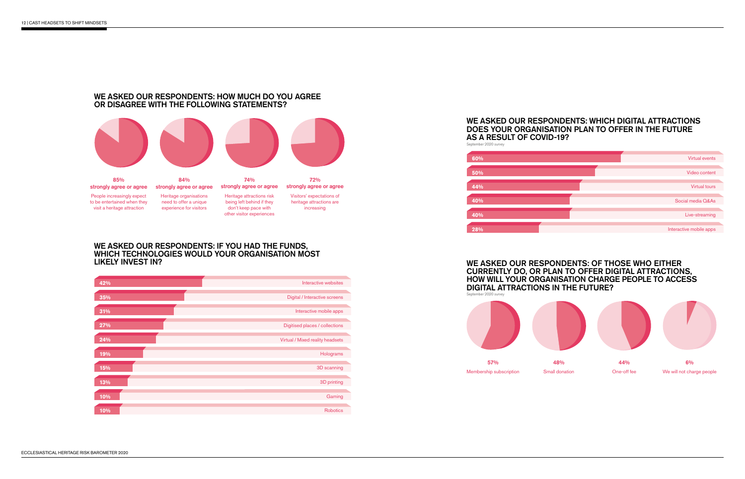

#### WE ASKED OUR RESPONDENTS: HOW MUCH DO YOU AGREE OR DISAGREE WITH THE FOLLOWING STATEMENTS?



#### WE ASKED OUR RESPONDENTS: IF YOU HAD THE FUNDS, WHICH TECHNOLOGIES WOULD YOUR ORGANISATION MOST LIKELY INVEST IN?

| 42% | Interactive websites             |
|-----|----------------------------------|
| 35% | Digital / Interactive screens    |
| 31% | Interactive mobile apps          |
| 27% | Digitised places / collections   |
| 24% | Virtual / Mixed reality headsets |
| 19% | Holograms                        |
| 15% | 3D scanning                      |
| 13% | 3D printing                      |
| 10% | Gaming                           |
| 10% | <b>Robotics</b>                  |

#### WE ASKED OUR RESPONDENTS: WHICH DIGITAL ATTRACTIONS DOES YOUR ORGANISATION PLAN TO OFFER IN THE FUTURE AS A RESULT OF COVID-19? September 2020 survey



#### WE ASKED OUR RESPONDENTS: OF THOSE WHO EITHER CURRENTLY DO, OR PLAN TO OFFER DIGITAL ATTRACTIONS, HOW WILL YOUR ORGANISATION CHARGE PEOPLE TO ACCESS DIGITAL ATTRACTIONS IN THE FUTURE?

September 2020 survey



57% 48% 6%

Membership subscription Small donation One-off fee We will not charge people

44%

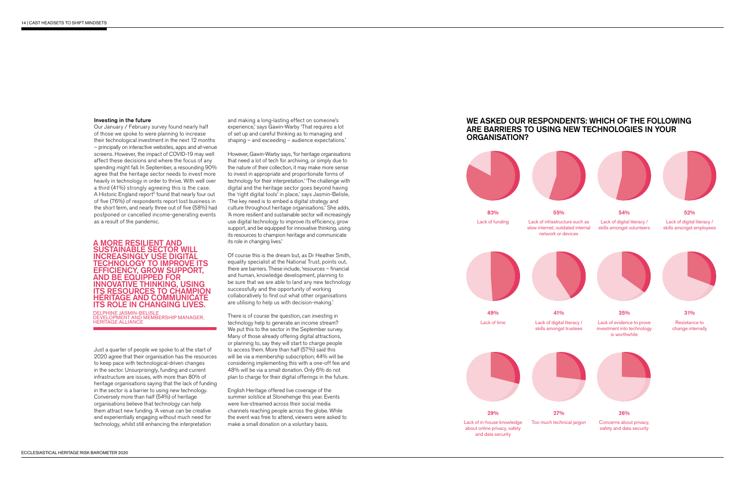#### Investing in the future

Our January / February survey found nearly half of those we spoke to were planning to increase their technological investment in the next 12 months – principally on interactive websites, apps and at-venue screens. However, the impact of COVID-19 may well affect these decisions and where the focus of any spending might fall. In September, a resounding 90% agree that the heritage sector needs to invest more heavily in technology in order to thrive. With well over a third (41%) strongly agreeing this is the case. A Historic England report<sup>3</sup> found that nearly four out of five (76%) of respondents report lost business in the short term, and nearly three out of five (58%) had postponed or cancelled income-generating events as a result of the pandemic.

#### A MORE RESILIENT AND SUSTAINABLE SECTOR WILL INCREASINGLY USE DIGITAL TECHNOLOGY TO IMPROVE ITS EFFICIENCY, GROW SUPPORT, AND BE EQUIPPED FOR INNOVATIVE THINKING, USING ITS RESOURCES TO CHAMPION HERITAGE AND COMMUNICATE ITS ROLE IN CHANGING LIVES.

DELPHINE JASMIN-BELISLE DEVELOPMENT AND MEMBERSHIP MANAGER, HERITAGE ALLIANCE

Just a quarter of people we spoke to at the start of 2020 agree that their organisation has the resources to keep pace with technological-driven changes in the sector. Unsurprisingly, funding and current infrastructure are issues, with more than 80% of heritage organisations saying that the lack of funding in the sector is a barrier to using new technology. Conversely more than half (54%) of heritage organisations believe that technology can help them attract new funding. 'A venue can be creative and experientially engaging without much need for technology, whilst still enhancing the interpretation

and making a long-lasting effect on someone's experience,' says Gawin-Warby 'That requires a lot of set up and careful thinking as to managing and shaping – and exceeding – audience expectations.'

However, Gawin-Warby says, 'for heritage organisations that need a lot of tech for archiving, or simply due to the nature of their collection, it may make more sense to invest in appropriate and proportionate forms of technology for their interpretation.' 'The challenge with digital and the heritage sector goes beyond having the 'right digital tools' in place,' says Jasmin-Belisle, 'The key need is to embed a digital strategy and culture throughout heritage organisations.' She adds, 'A more resilient and sustainable sector will increasingly use digital technology to improve its efficiency, grow support, and be equipped for innovative thinking, using its resources to champion heritage and communicate its role in changing lives.'

Of course this is the dream but, as Dr Heather Smith, equality specialist at the National Trust, points out, there are barriers. These include, 'resources – fnancial and human, knowledge development, planning to be sure that we are able to land any new technology successfully and the opportunity of working collaboratively to find out what other organisations are utilising to help us with decision-making.'

There is of course the question, can investing in technology help to generate an income stream? We put this to the sector in the September survey. Many of those already offering digital attractions, or planning to, say they will start to charge people to access them. More than half (57%) said this will be via a membership subscription; 44% will be considering implementing this with a one-off fee and 48% will be via a small donation. Only 6% do not plan to charge for their digital offerings in the future.

English Heritage offered live coverage of the summer solstice at Stonehenge this year. Events were live-streamed across their social media channels reaching people across the globe. While the event was free to attend, viewers were asked to make a small donation on a voluntary basis.

#### WE ASKED OUR RESPONDENTS: WHICH OF THE FOLLOWING ARE BARRIERS TO USING NEW TECHNOLOGIES IN YOUR ORGANISATION?







49% Lack of time



29% Lack of in-house knowledge

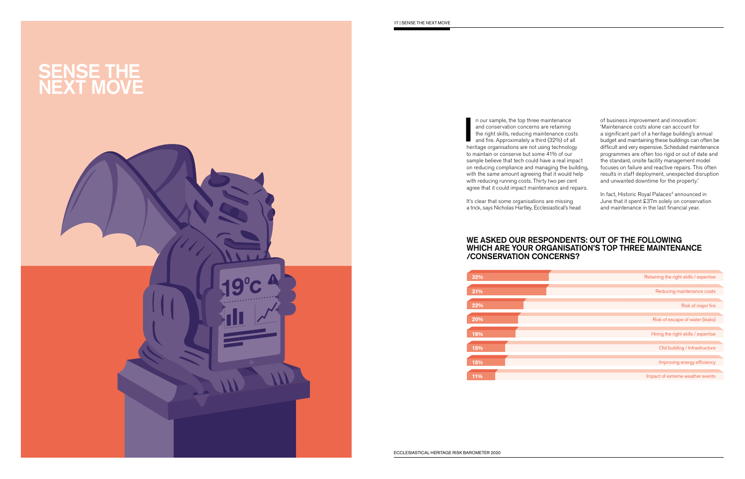

 to maintain or conserve but some 41% of our n our sample, the top three maintenance<br>and conservation concerns are retaining<br>the right skills, reducing maintenance costs<br>and fire. Approximately a third (32%) of all<br>heritage organisations are not using technology n our sample, the top three maintenance and conservation concerns are retaining the right skills, reducing maintenance costs and fire. Approximately a third (32%) of all sample believe that tech could have a real impact on reducing compliance and managing the building, with the same amount agreeing that it would help with reducing running costs. Thirty two per cent agree that it could impact maintenance and repairs.

It's clear that some organisations are missing a trick, says Nicholas Hartley, Ecclesiastical's head

of business improvement and innovation: 'Maintenance costs alone can account for a significant part of a heritage building's annual budget and maintaining these buildings can often be difficult and very expensive. Scheduled maintenance programmes are often too rigid or out of date and the standard, onsite facility management model focuses on failure and reactive repairs. This often results in staff deployment, unexpected disruption and unwanted downtime for the property.'

In fact, Historic Royal Palaces<sup>4</sup> announced in June that it spent £37m solely on conservation and maintenance in the last financial year.

| 32%    | Retaining the right skills / expertise |
|--------|----------------------------------------|
| $31\%$ | Reducing maintenance costs             |
| 22%    | Risk of major fire                     |
| 20%    | Risk of escape of water (leaks)        |
| 19%    | Hiring the right skills / expertise    |
| 15%    | Old building / Infrastructure          |
| 15%    | Improving energy efficiency            |
| 11%    | Impact of extreme weather events       |

#### WE ASKED OUR RESPONDENTS: OUT OF THE FOLLOWING WHICH ARE YOUR ORGANISATION'S TOP THREE MAINTENANCE /CONSERVATION CONCERNS?

| 32% |  |
|-----|--|
|     |  |
| 31% |  |
|     |  |
| 22% |  |
|     |  |
| 20% |  |
|     |  |
| 19% |  |
|     |  |
| 15% |  |
|     |  |
| 15% |  |
|     |  |
| 11% |  |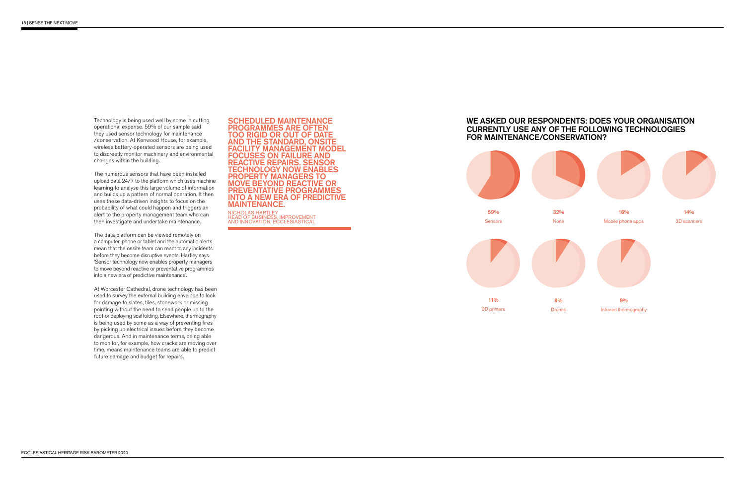Technology is being used well by some in cutting operational expense. 59% of our sample said they used sensor technology for maintenance / conservation. At Kenwood House, for example, wireless battery-operated sensors are being used to discreetly monitor machinery and environmental changes within the building.

The numerous sensors that have been installed upload data 24/7 to the platform which uses machine learning to analyse this large volume of information and builds up a pattern of normal operation. It then uses these data-driven insights to focus on the probability of what could happen and triggers an alert to the property management team who can then investigate and undertake maintenance.

The data platform can be viewed remotely on a computer, phone or tablet and the automatic alerts mean that the onsite team can react to any incidents before they become disruptive events. Hartley says 'Sensor technology now enables property managers to move beyond reactive or preventative programmes into a new era of predictive maintenance'.

NICHOLAS HARTLEY<br>HEAD OF BUSINESS, IMPROVEMENT AND INNOVATION, ECCLESIASTICAL

At Worcester Cathedral, drone technology has been used to survey the external building envelope to look for damage to slates, tiles, stonework or missing pointing without the need to send people up to the roof or deploying scaffolding. Elsewhere, thermography is being used by some as a way of preventing fres by picking up electrical issues before they become dangerous. And in maintenance terms, being able to monitor, for example, how cracks are moving over time, means maintenance teams are able to predict future damage and budget for repairs.

#### SCHEDULED MAINTENANCE PROGRAMMES ARE OFTEN TOO RIGID OR OUT OF DATE AND THE STANDARD, ONSITE FACILITY MANAGEMENT MODEL FOCUSES ON FAILURE AND REACTIVE REPAIRS. SENSOR TECHNOLOGY NOW ENABLES PROPERTY MANAGERS TO MOVE BEYOND REACTIVE OR PREVENTATIVE PROGRAMMES INTO A NEW ERA OF PREDICTIVE MAINTENANCE.

#### WE ASKED OUR RESPONDENTS: DOES YOUR ORGANISATION CURRENTLY USE ANY OF THE FOLLOWING TECHNOLOGIES FOR MAINTENANCE/CONSERVATION?



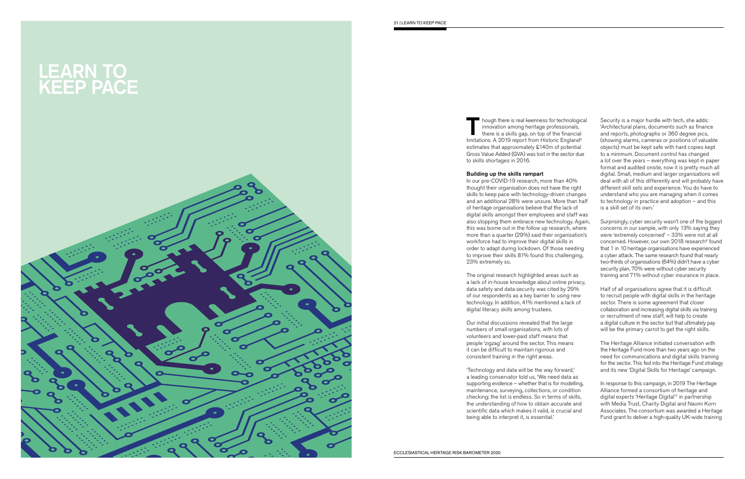

Though there is real keenness for technological<br>innovation among heritage professionals,<br>there is a skills gap, on top of the financial<br>limitations A 2010 ronast from Historic England<sup>5</sup> innovation among heritage professionals, there is a skills gap, on top of the financial limitations. A 2019 report from Historic England<sup>5</sup> estimates that approximately £140m of potential Gross Value Added (GVA) was lost in the sector due to skills shortages in 2016.

#### Building up the skills rampart

 thought their organisation does not have the right In our pre-COVID-19 research, more than 40% skills to keep pace with technology-driven changes and an additional 28% were unsure. More than half of heritage organisations believe that the lack of digital skills amongst their employees and staff was also stopping them embrace new technology. Again, this was borne out in the follow up research, where more than a quarter (29%) said their organisation's workforce had to improve their digital skills in order to adapt during lockdown. Of those needing to improve their skills 81% found this challenging, 23% extremely so.

The original research highlighted areas such as a lack of in-house knowledge about online privacy, data safety and data security was cited by 29% of our respondents as a key barrier to using new technology. In addition, 41% mentioned a lack of digital literacy skills among trustees.

Our initial discussions revealed that the large numbers of small organisations, with lots of volunteers and lower-paid staff means that people 'zigzag' around the sector. This means it can be difficult to maintain rigorous and consistent training in the right areas.

'Technology and data will be the way forward,' a leading conservator told us, 'We need data as supporting evidence – whether that is for modelling, maintenance, surveying, collections, or condition checking; the list is endless. So in terms of skills, the understanding of how to obtain accurate and scientific data which makes it valid, is crucial and being able to interpret it, is essential.'

 Fund grant to deliver a high-quality UK-wide training In response to this campaign, in 2019 The Heritage Alliance formed a consortium of heritage and digital experts 'Heritage Digital' 7 in partnership with Media Trust, Charity Digital and Naomi Korn Associates. The consortium was awarded a Heritage

Security is a major hurdle with tech, she adds: 'Architectural plans, documents such as fnance and reports, photographs or 360 degree pics, (showing alarms, cameras or positions of valuable objects) must be kept safe with hard copies kept to a minimum. Document control has changed a lot over the years – everything was kept in paper format and audited onsite, now it is pretty much all digital. Small, medium and larger organisations will deal with all of this differently and will probably have different skill sets and experience. You do have to understand who you are managing when it comes to technology in practice and adoption – and this is a skill set of its own.'

Surprisingly, cyber security wasn't one of the biggest concerns in our sample, with only 13% saying they were 'extremely concerned' – 33% were not at all concerned. However, our own 2018 research 6 found that 1 in 10 heritage organisations have experienced a cyber attack. The same research found that nearly two-thirds of organisations (64%) didn't have a cyber security plan, 70% were without cyber security training and 71% without cyber insurance in place.

Half of all organisations agree that it is difficult to recruit people with digital skills in the heritage sector. There is some agreement that closer collaboration and increasing digital skills via training or recruitment of new staff, will help to create a digital culture in the sector but that ultimately pay will be the primary carrot to get the right skills.

The Heritage Alliance initiated conversation with the Heritage Fund more than two years ago on the need for communications and digital skills training for the sector. This fed into the Heritage Fund strategy and its new 'Digital Skills for Heritage' campaign.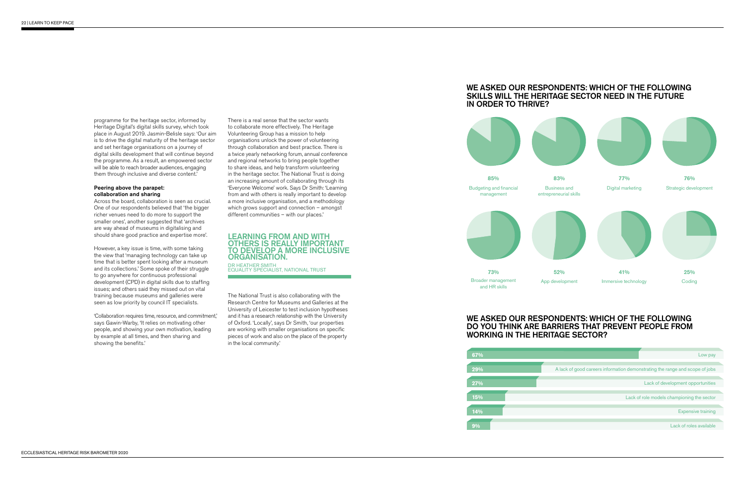programme for the heritage sector, informed by Heritage Digital's digital skills survey, which took place in August 2019. Jasmin-Belisle says: 'Our aim is to drive the digital maturity of the heritage sector and set heritage organisations on a journey of digital skills development that will continue beyond the programme. As a result, an empowered sector will be able to reach broader audiences, engaging them through inclusive and diverse content.'

However, a key issue is time, with some taking the view that 'managing technology can take up time that is better spent looking after a museum and its collections.' Some spoke of their struggle to go anywhere for continuous professional development (CPD) in digital skills due to staffing issues; and others said they missed out on vital training because museums and galleries were seen as low priority by council IT specialists.

#### Peering above the parapet: collaboration and sharing

'Collaboration requires time, resource, and commitment,' says Gawin-Warby, 'It relies on motivating other people, and showing your own motivation, leading by example at all times, and then sharing and showing the benefits.'

Across the board, collaboration is seen as crucial. One of our respondents believed that 'the bigger richer venues need to do more to support the smaller ones', another suggested that 'archives are way ahead of museums in digitalising and should share good practice and expertise more'.

> and it has a research relationship with the University are working with smaller organisations on specific The National Trust is also collaborating with the Research Centre for Museums and Galleries at the University of Leicester to test inclusion hypotheses of Oxford. 'Locally', says Dr Smith, 'our properties pieces of work and also on the place of the property in the local community.'

> There is a real sense that the sector wants to collaborate more effectively. The Heritage Volunteering Group has a mission to help organisations unlock the power of volunteering through collaboration and best practice. There is a twice yearly networking forum, annual conference and regional networks to bring people together to share ideas, and help transform volunteering in the heritage sector. The National Trust is doing an increasing amount of collaborating through its 'Everyone Welcome' work. Says Dr Smith: 'Learning from and with others is really important to develop a more inclusive organisation, and a methodology which grows support and connection – amongst different communities – with our places.'

#### LEARNING FROM AND WITH OTHERS IS REALLY IMPORTANT TO DEVELOP A MORE INCLUSIVE ORGANISATION.

DR HEATHER SMITH<br>EQUALITY SPECIALIST, NATIONAL TRUST

#### WE ASKED OUR RESPONDENTS: WHICH OF THE FOLLOWING SKILLS WILL THE HERITAGE SECTOR NEED IN THE FUTURE IN ORDER TO THRIVE?



#### WE ASKED OUR RESPONDENTS: WHICH OF THE FOLLOWING DO YOU THINK ARE BARRIERS THAT PREVENT PEOPLE FROM WORKING IN THE HERITAGE SECTOR?

| 67% | Low pay                                                                      |
|-----|------------------------------------------------------------------------------|
|     |                                                                              |
| 29% | A lack of good careers information demonstrating the range and scope of jobs |
|     |                                                                              |
| 27% | Lack of development opportunities                                            |
|     |                                                                              |
| 15% | Lack of role models championing the sector                                   |
|     |                                                                              |
| 14% | <b>Expensive training</b>                                                    |
|     |                                                                              |
| 9%  | Lack of roles available                                                      |
|     |                                                                              |
|     |                                                                              |

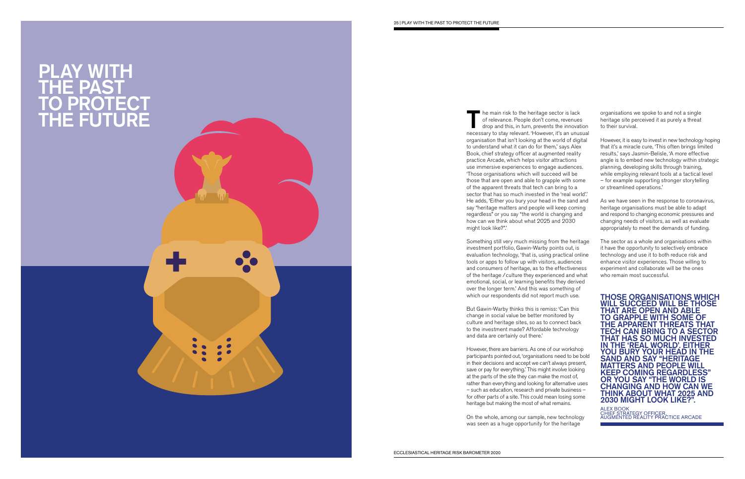### PLAY WITH THE PAST TO PROTECT THE FUTURE

The main risk to the heritage sector is lack<br>
of relevance. People don't come, revenues<br>
drop and this, in turn, prevents the innovation<br>
precessary to the visible with the innovation of relevance. People don't come, revenues necessary to stay relevant. 'However, it's an unusual organisation that isn't looking at the world of digital to understand what it can do for them,' says Alex Book, chief strategy officer at augmented reality practice Arcade, which helps visitor attractions use immersive experiences to engage audiences. 'Those organisations which will succeed will be those that are open and able to grapple with some of the apparent threats that tech can bring to a sector that has so much invested in the 'real world'.' He adds, 'Either you bury your head in the sand and say "heritage matters and people will keep coming regardless" or you say "the world is changing and how can we think about what 2025 and 2030 might look like?".'

Something still very much missing from the heritage investment portfolio, Gawin-Warby points out, is evaluation technology, 'that is, using practical online tools or apps to follow up with visitors, audiences and consumers of heritage, as to the effectiveness of the heritage / culture they experienced and what emotional, social, or learning benefits they derived over the longer term.' And this was something of which our respondents did not report much use.

But Gawin-Warby thinks this is remiss: 'Can this change in social value be better monitored by culture and heritage sites, so as to connect back to the investment made? Affordable technology and data are certainly out there.'

However, there are barriers. As one of our workshop participants pointed out, 'organisations need to be bold in their decisions and accept we can't always present, save or pay for everything.' This might involve looking at the parts of the site they can make the most of, rather than everything and looking for alternative uses – such as education, research and private business – for other parts of a site. This could mean losing some heritage but making the most of what remains.

On the whole, among our sample, new technology was seen as a huge opportunity for the heritage

organisations we spoke to and not a single heritage site perceived it as purely a threat to their survival.

However, it is easy to invest in new technology hoping that it's a miracle cure, 'This often brings limited results,' says Jasmin-Belisle, 'A more effective angle is to embed new technology within strategic planning, developing skills through training, while employing relevant tools at a tactical level – for example supporting stronger storytelling or streamlined operations.'

As we have seen in the response to coronavirus, heritage organisations must be able to adapt and respond to changing economic pressures and changing needs of visitors, as well as evaluate appropriately to meet the demands of funding.

The sector as a whole and organisations within it have the opportunity to selectively embrace technology and use it to both reduce risk and enhance visitor experiences. Those willing to experiment and collaborate will be the ones who remain most successful.



ALEX BOOK CHIEF STRATEGY OFFICER, AUGMENTED REALITY PRACTICE ARCADE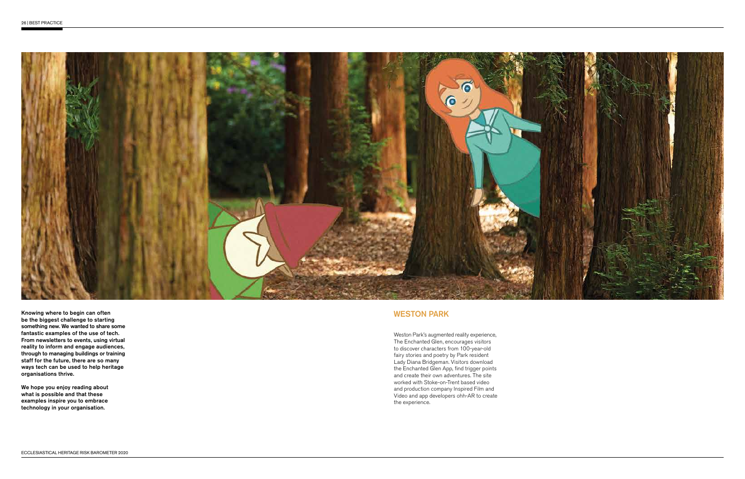

Knowing where to begin can often be the biggest challenge to starting something new. We wanted to share some fantastic examples of the use of tech. From newsletters to events, using virtual reality to inform and engage audiences, through to managing buildings or training staff for the future, there are so many ways tech can be used to help heritage organisations thrive.

We hope you enjoy reading about what is possible and that these examples inspire you to embrace technology in your organisation.

#### WESTON PARK

Weston Park's augmented reality experience, The Enchanted Glen, encourages visitors to discover characters from 100-year-old fairy stories and poetry by Park resident Lady Diana Bridgeman. Visitors download the Enchanted Glen App, find trigger points and create their own adventures. The site worked with Stoke-on-Trent based video and production company Inspired Film and Video and app developers ohh-AR to create the experience.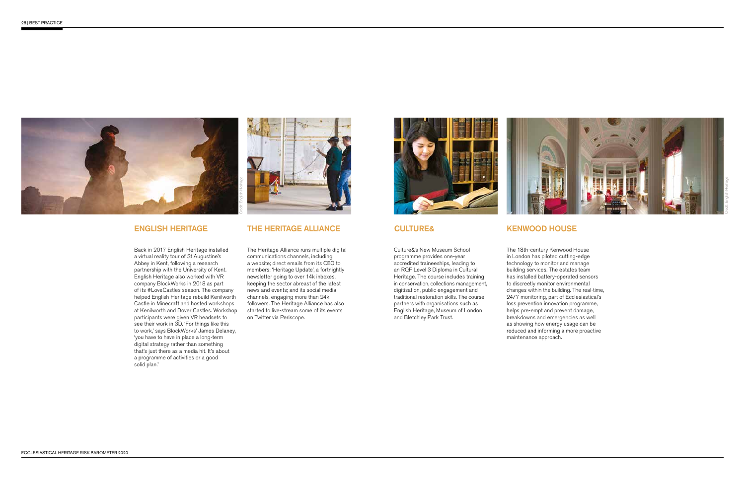



Credit: English Heritage

#### ENGLISH HERITAGE

Back in 2017 English Heritage installed a virtual reality tour of St Augustine's Abbey in Kent, following a research partnership with the University of Kent. English Heritage also worked with VR company BlockWorks in 2018 as part of its #LoveCastles season. The company helped English Heritage rebuild Kenilworth Castle in Minecraft and hosted workshops at Kenilworth and Dover Castles. Workshop participants were given VR headsets to see their work in 3D. 'For things like this to work,' says BlockWorks' James Delaney, 'you have to have in place a long-term digital strategy rather than something that's just there as a media hit. It's about a programme of activities or a good solid plan.'



#### THE HERITAGE ALLIANCE

The Heritage Alliance runs multiple digital communications channels, including a website; direct emails from its CEO to members; 'Heritage Update', a fortnightly newsletter going to over 14k inboxes, keeping the sector abreast of the latest news and events; and its social media channels, engaging more than 24k followers. The Heritage Alliance has also started to live-stream some of its events on Twitter via Periscope.



CULTURE&

Culture&'s New Museum School programme provides one-year accredited traineeships, leading to an RQF Level 3 Diploma in Cultural Heritage. The course includes training in conservation, collections management, digitisation, public engagement and traditional restoration skills. The course partners with organisations such as English Heritage, Museum of London

and Bletchley Park Trust.

#### KENWOOD HOUSE

The 18th-century Kenwood House in London has piloted cutting-edge technology to monitor and manage building services. The estates team has installed battery-operated sensors to discreetly monitor environmental changes within the building. The real-time, 24/7 monitoring, part of Ecclesiastical's loss prevention innovation programme, helps pre-empt and prevent damage, breakdowns and emergencies as well as showing how energy usage can be reduced and informing a more proactive maintenance approach.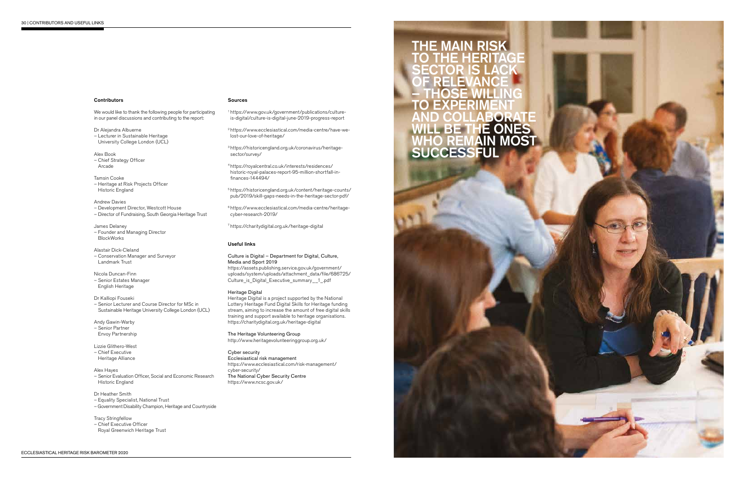

#### **Contributors**

We would like to thank the following people for participating in our panel discussions and contributing to the report:

 – Director of Fundraising, South Georgia Heritage Trust Andrew Davies – Development Director, Westcott House

Dr Alejandra Albuerne – Lecturer in Sustainable Heritage University College London (UCL)

Alex Book – Chief Strategy Officer Arcade

 – Conservation Manager and Surveyor Alastair Dick-Cleland Landmark Trust

 – Senior Estates Manager Nicola Duncan-Finn English Heritage

Tamsin Cooke – Heritage at Risk Projects Officer Historic England

– Senior Evaluation Officer, Social and Economic Research Historic England

James Delaney – Founder and Managing Director BlockWorks

– Government Disability Champion, Heritage and Countryside

- Chief Executive Officer
- Royal Greenwich Heritage Trust

Dr Kalliopi Fouseki

– Senior Lecturer and Course Director for MSc in Sustainable Heritage University College London (UCL)

Andy Gawin-Warby – Senior Partner Envoy Partnership

Lizzie Glithero-West

– Chief Executive Heritage Alliance

#### Alex Hayes

#### Dr Heather Smith

– Equality Specialist, National Trust

#### Tracy Stringfellow

#### Sources

1<https://www.gov.uk/government/publications/culture>is-digital/culture-is-digital-june-2019-progress-report

2<https://www.ecclesiastical.com/media-centre/have-we>lost-our-love-of-heritage/

3<https://historicengland.org.uk/coronavirus/heritage>sector/survey/

4<https://royalcentral.co.uk/interests/residences>/ historic-royal-palaces-report-95-million-shortfall-infnances-144494/

5<https://historicengland.org.uk/content/heritage-counts>/ pub/2019/skill-gaps-needs-in-the-heritage-sector-pdf/

6<https://www.ecclesiastical.com/media-centre/heritage>cyber-research-2019/

7<https://charitydigital.org.uk/heritage-digital>

#### Useful links

#### Culture is Digital – Department for Digital, Culture, Media and Sport 2019

<https://assets.publishing.service.gov.uk/government>/ uploads/system/uploads/attachment\_data/file/686725/ Culture\_is\_Digital\_Executive\_summary\_\_1\_.pdf

#### Heritage Digital

Heritage Digital is a project supported by the National Lottery Heritage Fund Digital Skills for Heritage funding stream, aiming to increase the amount of free digital skills training and support available to heritage organisations. <https://charitydigital.org.uk/heritage-digital>

The Heritage Volunteering Group <http://www.heritagevolunteeringgroup.org.uk>/

#### Cyber security

Ecclesiastical risk management <https://www.ecclesiastical.com/risk-management>/ cyber-security/ The National Cyber Security Centre <https://www.ncsc.gov.uk>/

#### **MAIN RISK** TO THE HERITAGE SECTOR IS LACK OF RELEVANCE – THOSE WILLING TO EXPERIMENT AND COLLABORATE WILL BE THE ONES WHO REMAIN MOST **SUCCESSFUL**